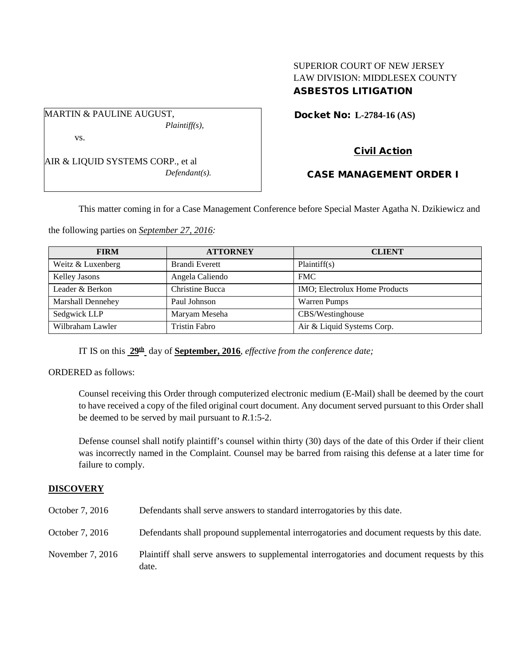# SUPERIOR COURT OF NEW JERSEY LAW DIVISION: MIDDLESEX COUNTY ASBESTOS LITIGATION

Docket No: **L-2784-16 (AS)** 

vs.

AIR & LIQUID SYSTEMS CORP., et al *Defendant(s).*

*Plaintiff(s),*

MARTIN & PAULINE AUGUST,

Civil Action

# CASE MANAGEMENT ORDER I

This matter coming in for a Case Management Conference before Special Master Agatha N. Dzikiewicz and

the following parties on *September 27, 2016:*

| <b>FIRM</b>          | <b>ATTORNEY</b>       | <b>CLIENT</b>                         |
|----------------------|-----------------------|---------------------------------------|
| Weitz & Luxenberg    | <b>Brandi Everett</b> | Plaintiff(s)                          |
| <b>Kelley Jasons</b> | Angela Caliendo       | <b>FMC</b>                            |
| Leader & Berkon      | Christine Bucca       | <b>IMO</b> ; Electrolux Home Products |
| Marshall Dennehey    | Paul Johnson          | <b>Warren Pumps</b>                   |
| Sedgwick LLP         | Maryam Meseha         | CBS/Westinghouse                      |
| Wilbraham Lawler     | <b>Tristin Fabro</b>  | Air & Liquid Systems Corp.            |

IT IS on this **29th** day of **September, 2016**, *effective from the conference date;*

ORDERED as follows:

Counsel receiving this Order through computerized electronic medium (E-Mail) shall be deemed by the court to have received a copy of the filed original court document. Any document served pursuant to this Order shall be deemed to be served by mail pursuant to *R*.1:5-2.

Defense counsel shall notify plaintiff's counsel within thirty (30) days of the date of this Order if their client was incorrectly named in the Complaint. Counsel may be barred from raising this defense at a later time for failure to comply.

### **DISCOVERY**

| October 7, 2016  | Defendants shall serve answers to standard interrogatories by this date.                             |
|------------------|------------------------------------------------------------------------------------------------------|
| October 7, 2016  | Defendants shall propound supplemental interrogatories and document requests by this date.           |
| November 7, 2016 | Plaintiff shall serve answers to supplemental interrogatories and document requests by this<br>date. |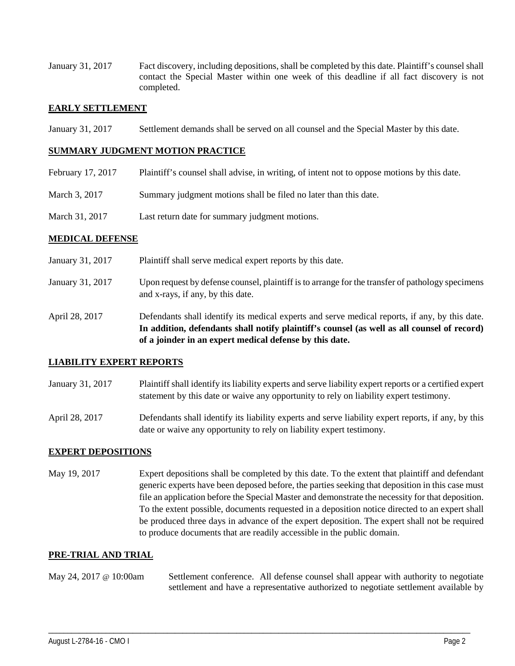January 31, 2017 Fact discovery, including depositions, shall be completed by this date. Plaintiff's counsel shall contact the Special Master within one week of this deadline if all fact discovery is not completed.

#### **EARLY SETTLEMENT**

January 31, 2017 Settlement demands shall be served on all counsel and the Special Master by this date.

#### **SUMMARY JUDGMENT MOTION PRACTICE**

- February 17, 2017 Plaintiff's counsel shall advise, in writing, of intent not to oppose motions by this date.
- March 3, 2017 Summary judgment motions shall be filed no later than this date.
- March 31, 2017 Last return date for summary judgment motions.

#### **MEDICAL DEFENSE**

January 31, 2017 Plaintiff shall serve medical expert reports by this date. January 31, 2017 Upon request by defense counsel, plaintiff is to arrange for the transfer of pathology specimens and x-rays, if any, by this date. April 28, 2017 Defendants shall identify its medical experts and serve medical reports, if any, by this date. **In addition, defendants shall notify plaintiff's counsel (as well as all counsel of record) of a joinder in an expert medical defense by this date.**

#### **LIABILITY EXPERT REPORTS**

- January 31, 2017 Plaintiff shall identify its liability experts and serve liability expert reports or a certified expert statement by this date or waive any opportunity to rely on liability expert testimony.
- April 28, 2017 Defendants shall identify its liability experts and serve liability expert reports, if any, by this date or waive any opportunity to rely on liability expert testimony.

## **EXPERT DEPOSITIONS**

May 19, 2017 Expert depositions shall be completed by this date. To the extent that plaintiff and defendant generic experts have been deposed before, the parties seeking that deposition in this case must file an application before the Special Master and demonstrate the necessity for that deposition. To the extent possible, documents requested in a deposition notice directed to an expert shall be produced three days in advance of the expert deposition. The expert shall not be required to produce documents that are readily accessible in the public domain.

### **PRE-TRIAL AND TRIAL**

May 24, 2017 @ 10:00am Settlement conference. All defense counsel shall appear with authority to negotiate settlement and have a representative authorized to negotiate settlement available by

\_\_\_\_\_\_\_\_\_\_\_\_\_\_\_\_\_\_\_\_\_\_\_\_\_\_\_\_\_\_\_\_\_\_\_\_\_\_\_\_\_\_\_\_\_\_\_\_\_\_\_\_\_\_\_\_\_\_\_\_\_\_\_\_\_\_\_\_\_\_\_\_\_\_\_\_\_\_\_\_\_\_\_\_\_\_\_\_\_\_\_\_\_\_\_\_\_\_\_\_\_\_\_\_\_\_\_\_\_\_